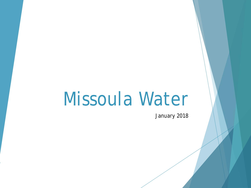# Missoula Water

January 2018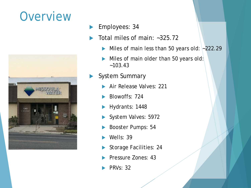#### **Overview**



- **Employees: 34**
- Total miles of main: ~325.72
	- Miles of main less than 50 years old:  $\sim$  222.29
	- Miles of main older than 50 years old:  $~103.43$
- System Summary
	- Air Release Valves: 221
	- Blowoffs: 724
	- Hydrants: 1448
	- System Valves: 5972
	- Booster Pumps: 54
	- Wells: 39
	- Storage Facilities: 24
	- Pressure Zones: 43
	- PRVs: 32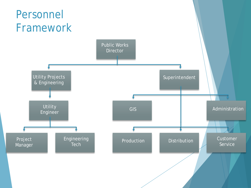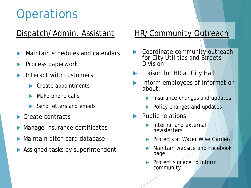# **Operations**

#### Dispatch/Admin. Assistant

- Maintain schedules and calendars
- Process paperwork
- Interact with customers
	- ▶ Create appointments
	- Make phone calls
	- Send letters and emails
- Create contracts
- Manage insurance certificates
- Maintain ditch card database
- Assigned tasks by superintendent

#### HR/Community Outreach

- Coordinate community outreach for City Utilities and Streets Division
- Liaison for HR at City Hall
- Inform employees of information about:
	- Insurance changes and updates
	- Policy changes and updates
- Public relations
	- Internal and external newsletters
	- Projects at Water Wise Garden
	- Maintain website and Facebook page
	- Project signage to inform community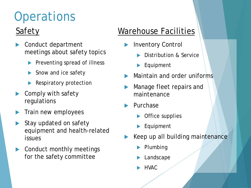# **Operations**

#### **Safety**

- Conduct department meetings about safety topics
	- Preventing spread of illness
	- Snow and ice safety
	- Respiratory protection
- Comply with safety regulations
- Train new employees
- Stay updated on safety equipment and health-related issues
- Conduct monthly meetings for the safety committee

#### Warehouse Facilities

- Inventory Control
	- Distribution & Service
	- Equipment
- Maintain and order uniforms
- Manage fleet repairs and maintenance
- Purchase
	- Office supplies
	- Equipment
- Keep up all building maintenance
	- Plumbing
	- Landscape
	- HVAC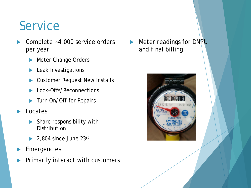#### Service

- Complete ~4,000 service orders per year
	- Meter Change Orders
	- Leak Investigations
	- Customer Request New Installs
	- Lock-Offs/Reconnections
	- Turn On/Off for Repairs
- Locates
	- Share responsibility with **Distribution**
	- 2,804 since June 23rd
- Emergencies
- Primarily interact with customers

Meter readings for DNPU and final billing

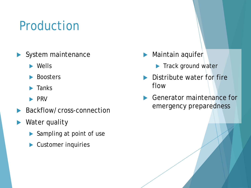# Production

- System maintenance
	- **Nells**
	- Boosters
	- Tanks
	- $\blacktriangleright$  PRV
- Backflow/cross-connection
- Water quality
	- Sampling at point of use
	- Customer inquiries
- $\blacktriangleright$  Maintain aquifer
	- Track ground water
- **Distribute water for fire** flow
- **Generator maintenance for** emergency preparedness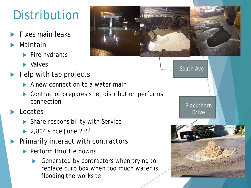# Distribution

- Fixes main leaks
- Maintain
	- $\blacktriangleright$  Fire hydrants
	- **Nalves**
- Help with tap projects
	- A new connection to a water main
	- Contractor prepares site, distribution performs connection
- Locates
	- ▶ Share responsibility with Service
	- $\blacktriangleright$  2,804 since June 23rd
- Primarily interact with contractors
	- ▶ Perform throttle downs
		- Generated by contractors when trying to replace curb box when too much water is flooding the worksite



South Ave

Blackthorn Drive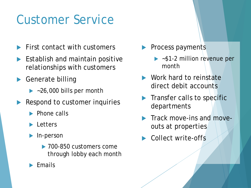# Customer Service

- First contact with customers
- **Establish and maintain positive** relationships with customers
- ▶ Generate billing
	- $\blacktriangleright$  ~26,000 bills per month
- Respond to customer inquiries
	- $\blacktriangleright$  Phone calls
	- **Letters**
	- **In-person** 
		- ▶ 700-850 customers come through lobby each month
	- Emails
- Process payments
	- $\triangleright$  ~\$1-2 million revenue per month
- Work hard to reinstate direct debit accounts
- Transfer calls to specific departments
- Track move-ins and moveouts at properties
- Collect write-offs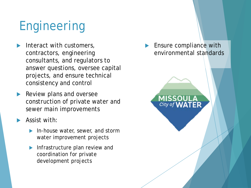# Engineering

- Interact with customers, contractors, engineering consultants, and regulators to answer questions, oversee capital projects, and ensure technical consistency and control
- Review plans and oversee construction of private water and sewer main improvements
- Assist with:
	- **In-house water, sewer, and storm** water improvement projects
	- Infrastructure plan review and coordination for private development projects

 Ensure compliance with environmental standards

City of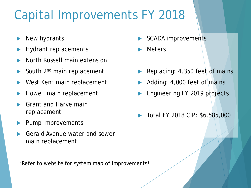# Capital Improvements FY 2018

- New hydrants
- Hydrant replacements
- North Russell main extension
- South 2nd main replacement
- West Kent main replacement
- Howell main replacement
- Grant and Harve main replacement
- Pump improvements
- Gerald Avenue water and sewer main replacement

\*Refer to website for system map of improvements\*

- SCADA improvements
- Meters
- Replacing: 4,350 feet of mains
- Adding: 4,000 feet of mains
- Engineering FY 2019 projects
- Total FY 2018 CIP: \$6,585,000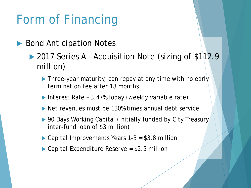# Form of Financing

- ▶ Bond Anticipation Notes
	- ▶ 2017 Series A Acquisition Note (sizing of \$112.9 million)
		- Three-year maturity, can repay at any time with no early termination fee after 18 months
		- ▶ Interest Rate 3.47% today (weekly variable rate)
		- Net revenues must be 130% times annual debt service
		- ▶ 90 Days Working Capital (initially funded by City Treasury inter-fund loan of \$3 million)
		- ▶ Capital Improvements Years 1-3 = \$3.8 million
		- ▶ Capital Expenditure Reserve = \$2.5 million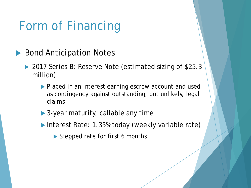# Form of Financing

- ▶ Bond Anticipation Notes
	- ▶ 2017 Series B: Reserve Note (estimated sizing of \$25.3 million)
		- **Placed in an interest earning escrow account and used** as contingency against outstanding, but unlikely, legal claims
		- ▶ 3-year maturity, callable any time
		- ▶ Interest Rate: 1.35% today (weekly variable rate)
			- Stepped rate for first 6 months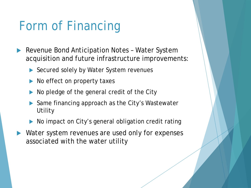# Form of Financing

- Revenue Bond Anticipation Notes Water System acquisition and future infrastructure improvements:
	- ▶ Secured solely by Water System revenues
	- No effect on property taxes
	- No pledge of the general credit of the City
	- Same financing approach as the City's Wastewater **Utility**
	- No impact on City's general obligation credit rating
- Water system revenues are used only for expenses associated with the water utility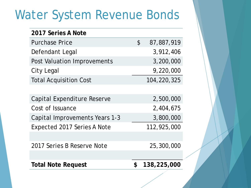#### Water System Revenue Bonds

| 2017 Series A Note             |               |             |
|--------------------------------|---------------|-------------|
| <b>Purchase Price</b>          | $\mathcal{C}$ | 87,887,919  |
| Defendant Legal                |               | 3,912,406   |
| Post Valuation Improvements    |               | 3,200,000   |
| City Legal                     |               | 9,220,000   |
| <b>Total Acquisition Cost</b>  |               | 104,220,325 |
|                                |               |             |
| Capital Expenditure Reserve    |               | 2,500,000   |
| Cost of Issuance               |               | 2,404,675   |
| Capital Improvements Years 1-3 |               | 3,800,000   |
| Expected 2017 Series A Note    |               | 112,925,000 |
|                                |               |             |
| 2017 Series B Reserve Note     |               | 25,300,000  |
|                                |               |             |
| <b>Total Note Request</b>      | \$            | 138,225,000 |
|                                |               |             |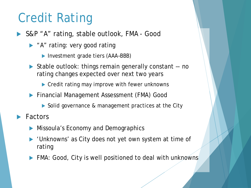# Credit Rating

- ▶ S&P "A" rating, stable outlook, FMA Good
	- A" rating: very good rating
		- ▶ Investment grade tiers (AAA-BBB)
	- ▶ Stable outlook: things remain generally constant -- no rating changes expected over next two years
		- ▶ Credit rating may improve with fewer unknowns
	- **Financial Management Assessment (FMA) Good** 
		- Solid governance & management practices at the City
- Factors
	- Missoula's Economy and Demographics
	- 'Unknowns' as City does not yet own system at time of rating
	- FMA: Good, City is well positioned to deal with unknowns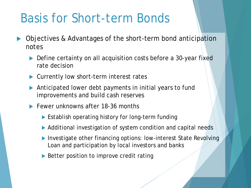### Basis for Short-term Bonds

- Objectives & Advantages of the short-term bond anticipation notes
	- ▶ Define certainty on all acquisition costs before a 30-year fixed rate decision
	- ▶ Currently low short-term interest rates
	- Anticipated lower debt payments in initial years to fund improvements and build cash reserves
	- **Fewer unknowns after 18-36 months** 
		- **Establish operating history for long-term funding**
		- Additional investigation of system condition and capital needs
		- ▶ Investigate other financing options: low-interest State Revolving Loan and participation by local investors and banks
		- ▶ Better position to improve credit rating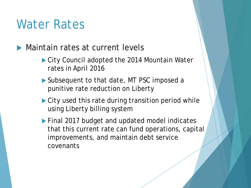#### Water Rates

**Maintain rates at current levels** 

- ▶ City Council adopted the 2014 Mountain Water rates in April 2016
- ▶ Subsequent to that date, MT PSC imposed a punitive rate reduction on Liberty
- ▶ City used this rate during transition period while using Liberty billing system
- ▶ Final 2017 budget and updated model indicates that this current rate can fund operations, capital improvements, and maintain debt service covenants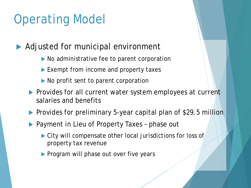# Operating Model

▶ Adjusted for municipal environment

- ▶ No administrative fee to parent corporation
- Exempt from income and property taxes
- No profit sent to parent corporation
- **Provides for all current water system employees at current** salaries and benefits
- Provides for preliminary 5-year capital plan of \$29.5 million
- ▶ Payment in Lieu of Property Taxes phase out
	- ▶ City will compensate other local jurisdictions for loss of property tax revenue
	- **Program will phase out over five years**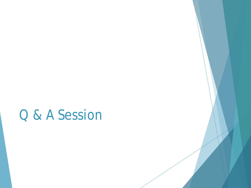### Q & A Session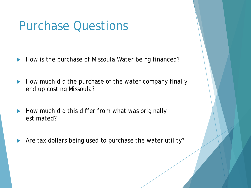#### Purchase Questions

- How is the purchase of Missoula Water being financed?
- How much did the purchase of the water company finally end up costing Missoula?
- $\blacktriangleright$  How much did this differ from what was originally estimated?
- Are tax dollars being used to purchase the water utility?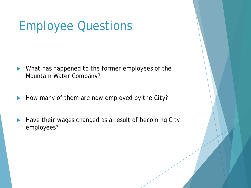### Employee Questions

- What has happened to the former employees of the Mountain Water Company?
- How many of them are now employed by the City?
- Have their wages changed as a result of becoming City employees?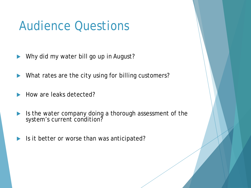Why did my water bill go up in August?

What rates are the city using for billing customers?

- How are leaks detected?
- If Is the water company doing a thorough assessment of the system's current condition?
- Is it better or worse than was anticipated?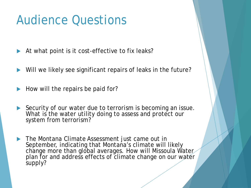- At what point is it cost-effective to fix leaks?
- Will we likely see significant repairs of leaks in the future?
- How will the repairs be paid for?
- Security of our water due to terrorism is becoming an issue. What is the water utility doing to assess and protect our system from terrorism?
- The Montana Climate Assessment just came out in September, indicating that Montana's climate will likely change more than global averages. How will Missoula Water plan for and address effects of climate change on our water supply?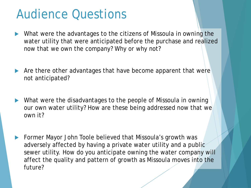- What were the advantages to the citizens of Missoula in owning the water utility that were anticipated before the purchase and realized now that we own the company? Why or why not?
- Are there other advantages that have become apparent that were not anticipated?
- What were the disadvantages to the people of Missoula in owning our own water utility? How are these being addressed now that we own it?
- Former Mayor John Toole believed that Missoula's growth was adversely affected by having a private water utility and a public sewer utility. How do you anticipate owning the water company will affect the quality and pattern of growth as Missoula moves into the future?